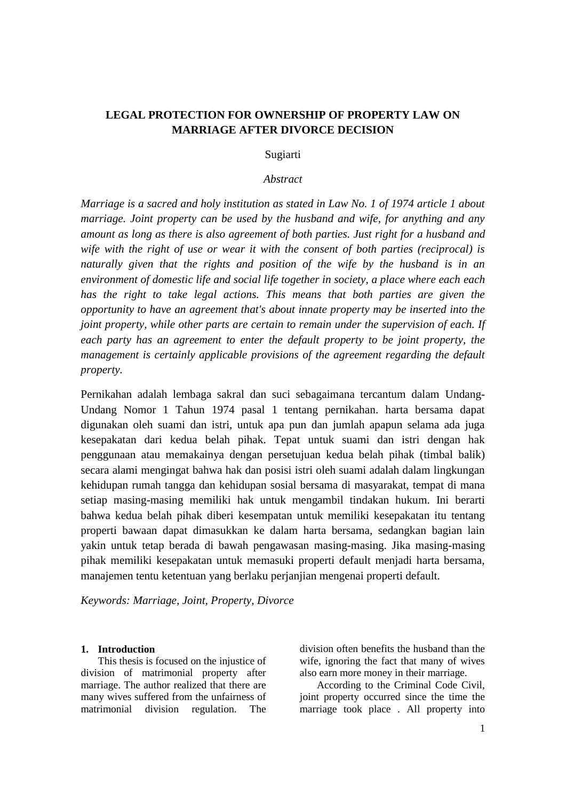# **LEGAL PROTECTION FOR OWNERSHIP OF PROPERTY LAW ON MARRIAGE AFTER DIVORCE DECISION**

## Sugiarti

#### *Abstract*

*Marriage is a sacred and holy institution as stated in Law No. 1 of 1974 article 1 about marriage. Joint property can be used by the husband and wife, for anything and any amount as long as there is also agreement of both parties. Just right for a husband and wife with the right of use or wear it with the consent of both parties (reciprocal) is naturally given that the rights and position of the wife by the husband is in an environment of domestic life and social life together in society, a place where each each has the right to take legal actions. This means that both parties are given the opportunity to have an agreement that's about innate property may be inserted into the joint property, while other parts are certain to remain under the supervision of each. If each party has an agreement to enter the default property to be joint property, the management is certainly applicable provisions of the agreement regarding the default property.*

Pernikahan adalah lembaga sakral dan suci sebagaimana tercantum dalam Undang-Undang Nomor 1 Tahun 1974 pasal 1 tentang pernikahan. harta bersama dapat digunakan oleh suami dan istri, untuk apa pun dan jumlah apapun selama ada juga kesepakatan dari kedua belah pihak. Tepat untuk suami dan istri dengan hak penggunaan atau memakainya dengan persetujuan kedua belah pihak (timbal balik) secara alami mengingat bahwa hak dan posisi istri oleh suami adalah dalam lingkungan kehidupan rumah tangga dan kehidupan sosial bersama di masyarakat, tempat di mana setiap masing-masing memiliki hak untuk mengambil tindakan hukum. Ini berarti bahwa kedua belah pihak diberi kesempatan untuk memiliki kesepakatan itu tentang properti bawaan dapat dimasukkan ke dalam harta bersama, sedangkan bagian lain yakin untuk tetap berada di bawah pengawasan masing-masing. Jika masing-masing pihak memiliki kesepakatan untuk memasuki properti default menjadi harta bersama, manajemen tentu ketentuan yang berlaku perjanjian mengenai properti default.

*Keywords: Marriage, Joint, Property, Divorce*

#### **1. Introduction**

This thesis is focused on the injustice of division of matrimonial property after marriage. The author realized that there are many wives suffered from the unfairness of matrimonial division regulation. The division often benefits the husband than the wife, ignoring the fact that many of wives also earn more money in their marriage.

According to the Criminal Code Civil, joint property occurred since the time the marriage took place . All property into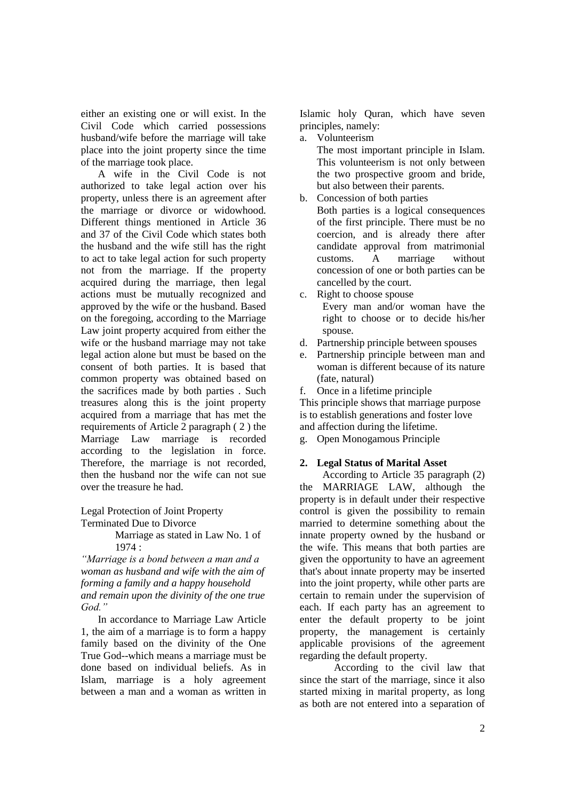either an existing one or will exist. In the Civil Code which carried possessions husband/wife before the marriage will take place into the joint property since the time of the marriage took place.

A wife in the Civil Code is not authorized to take legal action over his property, unless there is an agreement after the marriage or divorce or widowhood. Different things mentioned in Article 36 and 37 of the Civil Code which states both the husband and the wife still has the right to act to take legal action for such property not from the marriage. If the property acquired during the marriage, then legal actions must be mutually recognized and approved by the wife or the husband. Based on the foregoing, according to the Marriage Law joint property acquired from either the wife or the husband marriage may not take legal action alone but must be based on the consent of both parties. It is based that common property was obtained based on the sacrifices made by both parties . Such treasures along this is the joint property acquired from a marriage that has met the requirements of Article 2 paragraph ( 2 ) the Marriage Law marriage is recorded according to the legislation in force. Therefore, the marriage is not recorded, then the husband nor the wife can not sue over the treasure he had.

Legal Protection of Joint Property Terminated Due to Divorce

> Marriage as stated in Law No. 1 of 1974 :

*"Marriage is a bond between a man and a woman as husband and wife with the aim of forming a family and a happy household and remain upon the divinity of the one true God."*

In accordance to Marriage Law Article 1, the aim of a marriage is to form a happy family based on the divinity of the One True God--which means a marriage must be done based on individual beliefs. As in Islam, marriage is a holy agreement between a man and a woman as written in

Islamic holy Quran, which have seven principles, namely:

a. Volunteerism

The most important principle in Islam. This volunteerism is not only between the two prospective groom and bride, but also between their parents.

- b. Concession of both parties
	- Both parties is a logical consequences of the first principle. There must be no coercion, and is already there after candidate approval from matrimonial customs. A marriage without concession of one or both parties can be cancelled by the court.
- c. Right to choose spouse Every man and/or woman have the right to choose or to decide his/her spouse.
- d. Partnership principle between spouses
- e. Partnership principle between man and woman is different because of its nature (fate, natural)
- f. Once in a lifetime principle

This principle shows that marriage purpose is to establish generations and foster love and affection during the lifetime.

g. Open Monogamous Principle

# **2. Legal Status of Marital Asset**

According to Article 35 paragraph (2) the MARRIAGE LAW, although the property is in default under their respective control is given the possibility to remain married to determine something about the innate property owned by the husband or the wife. This means that both parties are given the opportunity to have an agreement that's about innate property may be inserted into the joint property, while other parts are certain to remain under the supervision of each. If each party has an agreement to enter the default property to be joint property, the management is certainly applicable provisions of the agreement regarding the default property.

According to the civil law that since the start of the marriage, since it also started mixing in marital property, as long as both are not entered into a separation of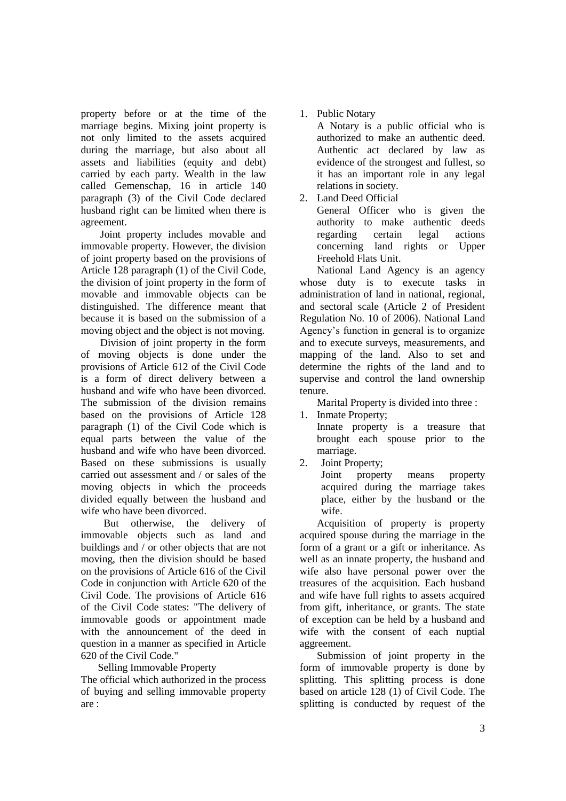property before or at the time of the marriage begins. Mixing joint property is not only limited to the assets acquired during the marriage, but also about all assets and liabilities (equity and debt) carried by each party. Wealth in the law called Gemenschap, 16 in article 140 paragraph (3) of the Civil Code declared husband right can be limited when there is agreement.

Joint property includes movable and immovable property. However, the division of joint property based on the provisions of Article 128 paragraph (1) of the Civil Code, the division of joint property in the form of movable and immovable objects can be distinguished. The difference meant that because it is based on the submission of a moving object and the object is not moving.

Division of joint property in the form of moving objects is done under the provisions of Article 612 of the Civil Code is a form of direct delivery between a husband and wife who have been divorced. The submission of the division remains based on the provisions of Article 128 paragraph (1) of the Civil Code which is equal parts between the value of the husband and wife who have been divorced. Based on these submissions is usually carried out assessment and / or sales of the moving objects in which the proceeds divided equally between the husband and wife who have been divorced.

But otherwise, the delivery of immovable objects such as land and buildings and / or other objects that are not moving, then the division should be based on the provisions of Article 616 of the Civil Code in conjunction with Article 620 of the Civil Code. The provisions of Article 616 of the Civil Code states: "The delivery of immovable goods or appointment made with the announcement of the deed in question in a manner as specified in Article 620 of the Civil Code."

Selling Immovable Property

The official which authorized in the process of buying and selling immovable property are :

1. Public Notary

A Notary is a public official who is authorized to make an authentic deed. Authentic act declared by law as evidence of the strongest and fullest, so it has an important role in any legal relations in society.

2. Land Deed Official

General Officer who is given the authority to make authentic deeds regarding certain legal actions concerning land rights or Upper Freehold Flats Unit.

National Land Agency is an agency whose duty is to execute tasks in administration of land in national, regional, and sectoral scale (Article 2 of President Regulation No. 10 of 2006). National Land Agency's function in general is to organize and to execute surveys, measurements, and mapping of the land. Also to set and determine the rights of the land and to supervise and control the land ownership tenure.

Marital Property is divided into three :

1. Inmate Property; Innate property is a treasure that brought each spouse prior to the marriage.

2. Joint Property;

Joint property means property acquired during the marriage takes place, either by the husband or the wife.

Acquisition of property is property acquired spouse during the marriage in the form of a grant or a gift or inheritance. As well as an innate property, the husband and wife also have personal power over the treasures of the acquisition. Each husband and wife have full rights to assets acquired from gift, inheritance, or grants. The state of exception can be held by a husband and wife with the consent of each nuptial aggreement.

Submission of joint property in the form of immovable property is done by splitting. This splitting process is done based on article 128 (1) of Civil Code. The splitting is conducted by request of the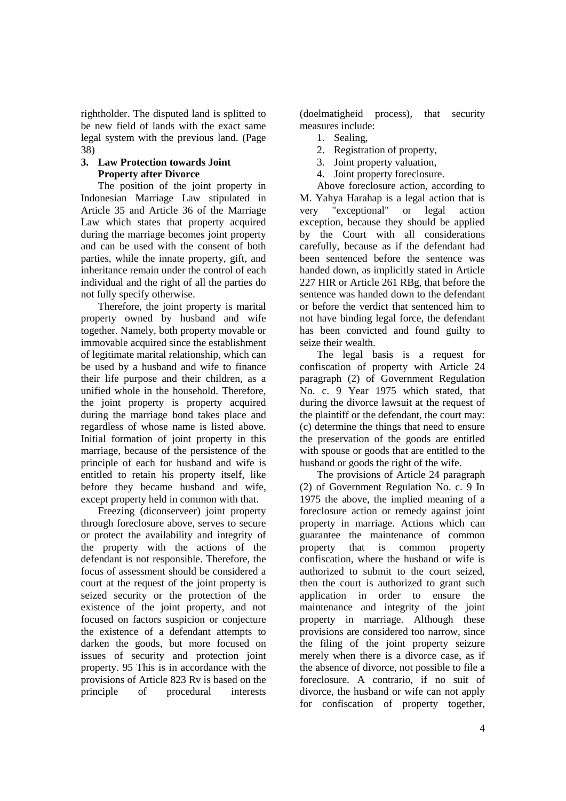rightholder. The disputed land is splitted to be new field of lands with the exact same legal system with the previous land. (Page 38)

# **3. Law Protection towards Joint Property after Divorce**

The position of the joint property in Indonesian Marriage Law stipulated in Article 35 and Article 36 of the Marriage Law which states that property acquired during the marriage becomes joint property and can be used with the consent of both parties, while the innate property, gift, and inheritance remain under the control of each individual and the right of all the parties do not fully specify otherwise.

Therefore, the joint property is marital property owned by husband and wife together. Namely, both property movable or immovable acquired since the establishment of legitimate marital relationship, which can be used by a husband and wife to finance their life purpose and their children, as a unified whole in the household. Therefore, the joint property is property acquired during the marriage bond takes place and regardless of whose name is listed above. Initial formation of joint property in this marriage, because of the persistence of the principle of each for husband and wife is entitled to retain his property itself, like before they became husband and wife, except property held in common with that.

Freezing (diconserveer) joint property through foreclosure above, serves to secure or protect the availability and integrity of the property with the actions of the defendant is not responsible. Therefore, the focus of assessment should be considered a court at the request of the joint property is seized security or the protection of the existence of the joint property, and not focused on factors suspicion or conjecture the existence of a defendant attempts to darken the goods, but more focused on issues of security and protection joint property. 95 This is in accordance with the provisions of Article 823 Rv is based on the principle of procedural interests

(doelmatigheid process), that security measures include:

- 1. Sealing,
- 2. Registration of property,
- 3. Joint property valuation,
- 4. Joint property foreclosure.

Above foreclosure action, according to M. Yahya Harahap is a legal action that is very "exceptional" or legal action exception, because they should be applied by the Court with all considerations carefully, because as if the defendant had been sentenced before the sentence was handed down, as implicitly stated in Article 227 HIR or Article 261 RBg, that before the sentence was handed down to the defendant or before the verdict that sentenced him to not have binding legal force, the defendant has been convicted and found guilty to seize their wealth.

The legal basis is a request for confiscation of property with Article 24 paragraph (2) of Government Regulation No. c. 9 Year 1975 which stated, that during the divorce lawsuit at the request of the plaintiff or the defendant, the court may: (c) determine the things that need to ensure the preservation of the goods are entitled with spouse or goods that are entitled to the husband or goods the right of the wife.

The provisions of Article 24 paragraph (2) of Government Regulation No. c. 9 In 1975 the above, the implied meaning of a foreclosure action or remedy against joint property in marriage. Actions which can guarantee the maintenance of common property that is common property confiscation, where the husband or wife is authorized to submit to the court seized, then the court is authorized to grant such application in order to ensure the maintenance and integrity of the joint property in marriage. Although these provisions are considered too narrow, since the filing of the joint property seizure merely when there is a divorce case, as if the absence of divorce, not possible to file a foreclosure. A contrario, if no suit of divorce, the husband or wife can not apply for confiscation of property together,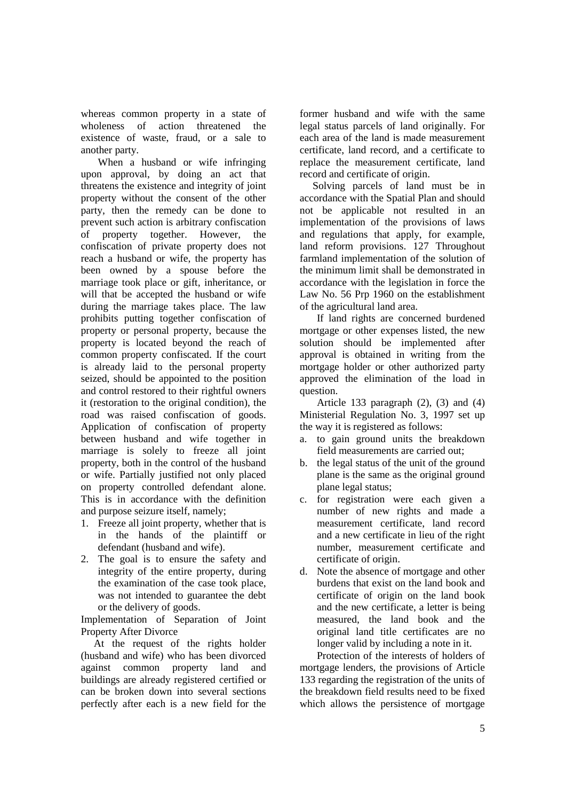whereas common property in a state of wholeness of action threatened the existence of waste, fraud, or a sale to another party.

When a husband or wife infringing upon approval, by doing an act that threatens the existence and integrity of joint property without the consent of the other party, then the remedy can be done to prevent such action is arbitrary confiscation of property together. However, the confiscation of private property does not reach a husband or wife, the property has been owned by a spouse before the marriage took place or gift, inheritance, or will that be accepted the husband or wife during the marriage takes place. The law prohibits putting together confiscation of property or personal property, because the property is located beyond the reach of common property confiscated. If the court is already laid to the personal property seized, should be appointed to the position and control restored to their rightful owners it (restoration to the original condition), the road was raised confiscation of goods. Application of confiscation of property between husband and wife together in marriage is solely to freeze all joint property, both in the control of the husband or wife. Partially justified not only placed on property controlled defendant alone. This is in accordance with the definition and purpose seizure itself, namely;

- 1. Freeze all joint property, whether that is in the hands of the plaintiff or defendant (husband and wife).
- 2. The goal is to ensure the safety and integrity of the entire property, during the examination of the case took place, was not intended to guarantee the debt or the delivery of goods.

Implementation of Separation of Joint Property After Divorce

At the request of the rights holder (husband and wife) who has been divorced against common property land and buildings are already registered certified or can be broken down into several sections perfectly after each is a new field for the former husband and wife with the same legal status parcels of land originally. For each area of the land is made measurement certificate, land record, and a certificate to replace the measurement certificate, land record and certificate of origin.

Solving parcels of land must be in accordance with the Spatial Plan and should not be applicable not resulted in an implementation of the provisions of laws and regulations that apply, for example, land reform provisions. 127 Throughout farmland implementation of the solution of the minimum limit shall be demonstrated in accordance with the legislation in force the Law No. 56 Prp 1960 on the establishment of the agricultural land area.

If land rights are concerned burdened mortgage or other expenses listed, the new solution should be implemented after approval is obtained in writing from the mortgage holder or other authorized party approved the elimination of the load in question.

Article 133 paragraph  $(2)$ ,  $(3)$  and  $(4)$ Ministerial Regulation No. 3, 1997 set up the way it is registered as follows:

- a. to gain ground units the breakdown field measurements are carried out;
- b. the legal status of the unit of the ground plane is the same as the original ground plane legal status;
- c. for registration were each given a number of new rights and made a measurement certificate, land record and a new certificate in lieu of the right number, measurement certificate and certificate of origin.
- d. Note the absence of mortgage and other burdens that exist on the land book and certificate of origin on the land book and the new certificate, a letter is being measured, the land book and the original land title certificates are no longer valid by including a note in it.

Protection of the interests of holders of mortgage lenders, the provisions of Article 133 regarding the registration of the units of the breakdown field results need to be fixed which allows the persistence of mortgage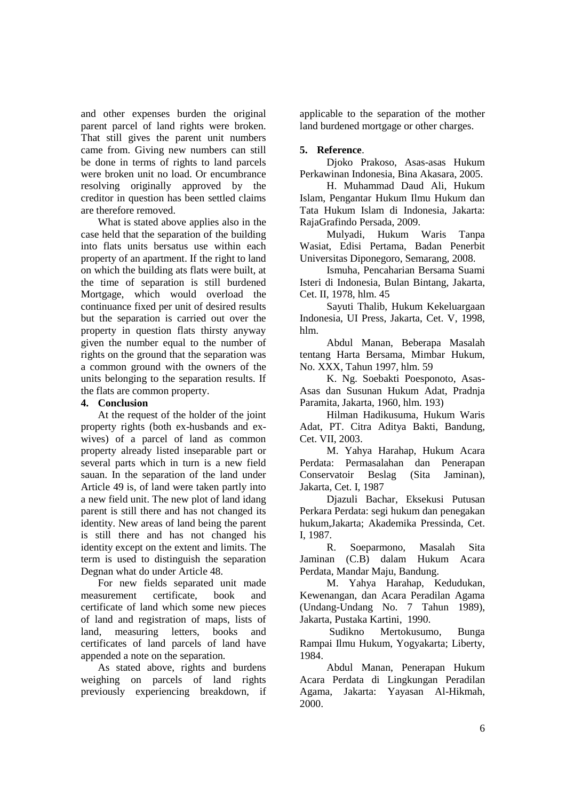and other expenses burden the original parent parcel of land rights were broken. That still gives the parent unit numbers came from. Giving new numbers can still be done in terms of rights to land parcels were broken unit no load. Or encumbrance resolving originally approved by the creditor in question has been settled claims are therefore removed.

What is stated above applies also in the case held that the separation of the building into flats units bersatus use within each property of an apartment. If the right to land on which the building ats flats were built, at the time of separation is still burdened Mortgage, which would overload the continuance fixed per unit of desired results but the separation is carried out over the property in question flats thirsty anyway given the number equal to the number of rights on the ground that the separation was a common ground with the owners of the units belonging to the separation results. If the flats are common property.

# **4. Conclusion**

At the request of the holder of the joint property rights (both ex-husbands and exwives) of a parcel of land as common property already listed inseparable part or several parts which in turn is a new field sauan. In the separation of the land under Article 49 is, of land were taken partly into a new field unit. The new plot of land idang parent is still there and has not changed its identity. New areas of land being the parent is still there and has not changed his identity except on the extent and limits. The term is used to distinguish the separation Degnan what do under Article 48.

For new fields separated unit made measurement certificate, book and certificate of land which some new pieces of land and registration of maps, lists of land, measuring letters, books and certificates of land parcels of land have appended a note on the separation.

As stated above, rights and burdens weighing on parcels of land rights previously experiencing breakdown, if applicable to the separation of the mother land burdened mortgage or other charges.

## **5. Reference**.

Djoko Prakoso, Asas-asas Hukum Perkawinan Indonesia, Bina Akasara, 2005.

H. Muhammad Daud Ali, Hukum Islam, Pengantar Hukum Ilmu Hukum dan Tata Hukum Islam di Indonesia, Jakarta: RajaGrafindo Persada, 2009.

Mulyadi, Hukum Waris Tanpa Wasiat, Edisi Pertama, Badan Penerbit Universitas Diponegoro, Semarang, 2008.

Ismuha, Pencaharian Bersama Suami Isteri di Indonesia, Bulan Bintang, Jakarta, Cet. II, 1978, hlm. 45

Sayuti Thalib, Hukum Kekeluargaan Indonesia, UI Press, Jakarta, Cet. V, 1998, hlm.

Abdul Manan, Beberapa Masalah tentang Harta Bersama, Mimbar Hukum, No. XXX, Tahun 1997, hlm. 59

K. Ng. Soebakti Poesponoto, Asas-Asas dan Susunan Hukum Adat, Pradnja Paramita, Jakarta, 1960, hlm. 193)

Hilman Hadikusuma, Hukum Waris Adat, PT. Citra Aditya Bakti, Bandung, Cet. VII, 2003.

M. Yahya Harahap, Hukum Acara Perdata: Permasalahan dan Penerapan Conservatoir Beslag (Sita Jaminan), Jakarta, Cet. I, 1987

Djazuli Bachar, Eksekusi Putusan Perkara Perdata: segi hukum dan penegakan hukum,Jakarta; Akademika Pressinda, Cet. I, 1987.

R. Soeparmono, Masalah Sita Jaminan (C.B) dalam Hukum Acara Perdata, Mandar Maju, Bandung.

M. Yahya Harahap, Kedudukan, Kewenangan, dan Acara Peradilan Agama (Undang-Undang No. 7 Tahun 1989), Jakarta, Pustaka Kartini, 1990.

Sudikno Mertokusumo, Bunga Rampai Ilmu Hukum, Yogyakarta; Liberty, 1984.

Abdul Manan, Penerapan Hukum Acara Perdata di Lingkungan Peradilan Agama, Jakarta: Yayasan Al-Hikmah, 2000.